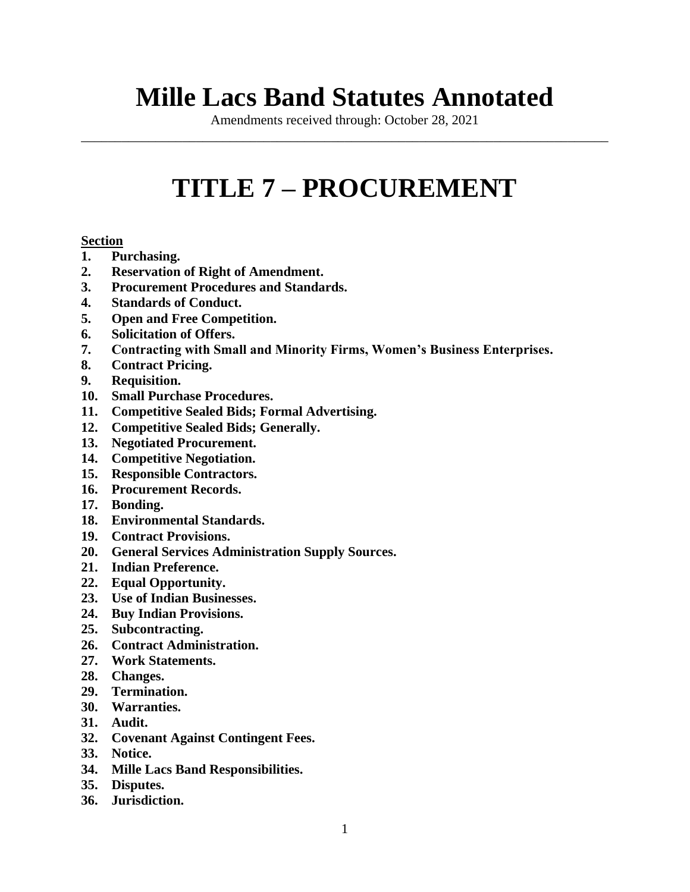# **Mille Lacs Band Statutes Annotated**

Amendments received through: October 28, 2021 \_\_\_\_\_\_\_\_\_\_\_\_\_\_\_\_\_\_\_\_\_\_\_\_\_\_\_\_\_\_\_\_\_\_\_\_\_\_\_\_\_\_\_\_\_\_\_\_\_\_\_\_\_\_\_\_\_\_\_\_\_\_\_\_\_\_\_\_\_\_\_\_\_\_\_\_\_\_

# **TITLE 7 – PROCUREMENT**

## **Section**

- **1. Purchasing.**
- **2. Reservation of Right of Amendment.**
- **3. Procurement Procedures and Standards.**
- **4. Standards of Conduct.**
- **5. Open and Free Competition.**
- **6. Solicitation of Offers.**
- **7. Contracting with Small and Minority Firms, Women's Business Enterprises.**
- **8. Contract Pricing.**
- **9. Requisition.**
- **10. Small Purchase Procedures.**
- **11. Competitive Sealed Bids; Formal Advertising.**
- **12. Competitive Sealed Bids; Generally.**
- **13. Negotiated Procurement.**
- **14. Competitive Negotiation.**
- **15. Responsible Contractors.**
- **16. Procurement Records.**
- **17. Bonding.**
- **18. Environmental Standards.**
- **19. Contract Provisions.**
- **20. General Services Administration Supply Sources.**
- **21. Indian Preference.**
- **22. Equal Opportunity.**
- **23. Use of Indian Businesses.**
- **24. Buy Indian Provisions.**
- **25. Subcontracting.**
- **26. Contract Administration.**
- **27. Work Statements.**
- **28. Changes.**
- **29. Termination.**
- **30. Warranties.**
- **31. Audit.**
- **32. Covenant Against Contingent Fees.**
- **33. Notice.**
- **34. Mille Lacs Band Responsibilities.**
- **35. Disputes.**
- **36. Jurisdiction.**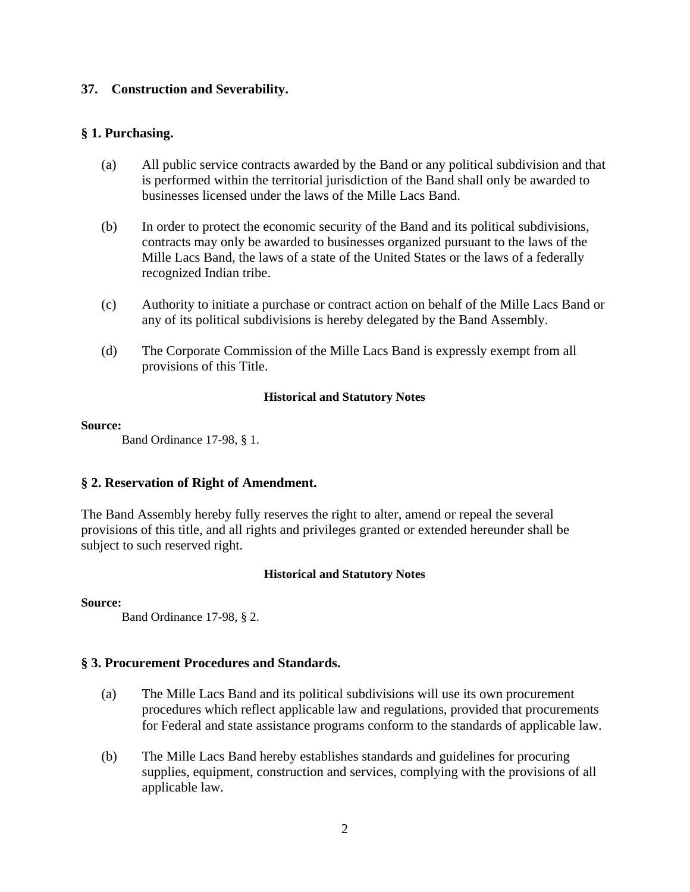## **37. Construction and Severability.**

## **§ 1. Purchasing.**

- (a) All public service contracts awarded by the Band or any political subdivision and that is performed within the territorial jurisdiction of the Band shall only be awarded to businesses licensed under the laws of the Mille Lacs Band.
- (b) In order to protect the economic security of the Band and its political subdivisions, contracts may only be awarded to businesses organized pursuant to the laws of the Mille Lacs Band, the laws of a state of the United States or the laws of a federally recognized Indian tribe.
- (c) Authority to initiate a purchase or contract action on behalf of the Mille Lacs Band or any of its political subdivisions is hereby delegated by the Band Assembly.
- (d) The Corporate Commission of the Mille Lacs Band is expressly exempt from all provisions of this Title.

## **Historical and Statutory Notes**

#### **Source:**

Band Ordinance 17-98, § 1.

## **§ 2. Reservation of Right of Amendment.**

The Band Assembly hereby fully reserves the right to alter, amend or repeal the several provisions of this title, and all rights and privileges granted or extended hereunder shall be subject to such reserved right.

## **Historical and Statutory Notes**

#### **Source:**

Band Ordinance 17-98, § 2.

## **§ 3. Procurement Procedures and Standards.**

- (a) The Mille Lacs Band and its political subdivisions will use its own procurement procedures which reflect applicable law and regulations, provided that procurements for Federal and state assistance programs conform to the standards of applicable law.
- (b) The Mille Lacs Band hereby establishes standards and guidelines for procuring supplies, equipment, construction and services, complying with the provisions of all applicable law.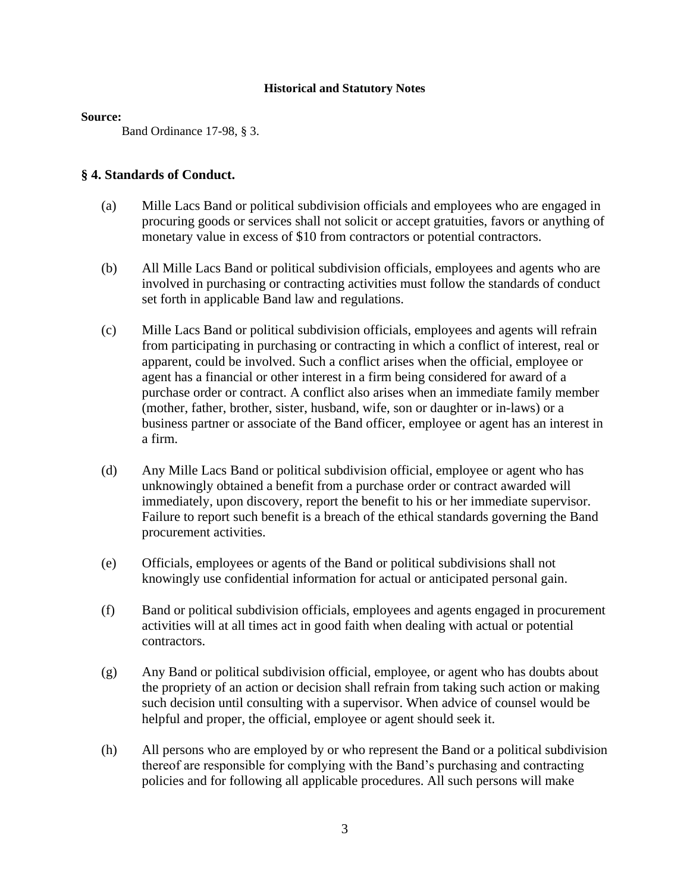#### **Source:**

Band Ordinance 17-98, § 3.

## **§ 4. Standards of Conduct.**

- (a) Mille Lacs Band or political subdivision officials and employees who are engaged in procuring goods or services shall not solicit or accept gratuities, favors or anything of monetary value in excess of \$10 from contractors or potential contractors.
- (b) All Mille Lacs Band or political subdivision officials, employees and agents who are involved in purchasing or contracting activities must follow the standards of conduct set forth in applicable Band law and regulations.
- (c) Mille Lacs Band or political subdivision officials, employees and agents will refrain from participating in purchasing or contracting in which a conflict of interest, real or apparent, could be involved. Such a conflict arises when the official, employee or agent has a financial or other interest in a firm being considered for award of a purchase order or contract. A conflict also arises when an immediate family member (mother, father, brother, sister, husband, wife, son or daughter or in-laws) or a business partner or associate of the Band officer, employee or agent has an interest in a firm.
- (d) Any Mille Lacs Band or political subdivision official, employee or agent who has unknowingly obtained a benefit from a purchase order or contract awarded will immediately, upon discovery, report the benefit to his or her immediate supervisor. Failure to report such benefit is a breach of the ethical standards governing the Band procurement activities.
- (e) Officials, employees or agents of the Band or political subdivisions shall not knowingly use confidential information for actual or anticipated personal gain.
- (f) Band or political subdivision officials, employees and agents engaged in procurement activities will at all times act in good faith when dealing with actual or potential contractors.
- (g) Any Band or political subdivision official, employee, or agent who has doubts about the propriety of an action or decision shall refrain from taking such action or making such decision until consulting with a supervisor. When advice of counsel would be helpful and proper, the official, employee or agent should seek it.
- (h) All persons who are employed by or who represent the Band or a political subdivision thereof are responsible for complying with the Band's purchasing and contracting policies and for following all applicable procedures. All such persons will make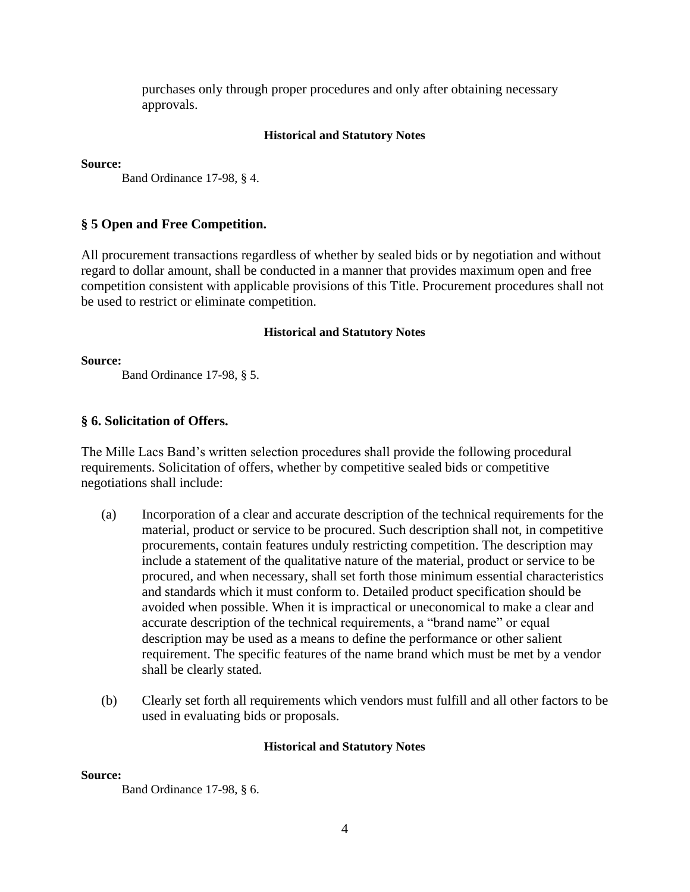purchases only through proper procedures and only after obtaining necessary approvals.

#### **Historical and Statutory Notes**

**Source:**

Band Ordinance 17-98, § 4.

## **§ 5 Open and Free Competition.**

All procurement transactions regardless of whether by sealed bids or by negotiation and without regard to dollar amount, shall be conducted in a manner that provides maximum open and free competition consistent with applicable provisions of this Title. Procurement procedures shall not be used to restrict or eliminate competition.

#### **Historical and Statutory Notes**

**Source:**

Band Ordinance 17-98, § 5.

## **§ 6. Solicitation of Offers.**

The Mille Lacs Band's written selection procedures shall provide the following procedural requirements. Solicitation of offers, whether by competitive sealed bids or competitive negotiations shall include:

- (a) Incorporation of a clear and accurate description of the technical requirements for the material, product or service to be procured. Such description shall not, in competitive procurements, contain features unduly restricting competition. The description may include a statement of the qualitative nature of the material, product or service to be procured, and when necessary, shall set forth those minimum essential characteristics and standards which it must conform to. Detailed product specification should be avoided when possible. When it is impractical or uneconomical to make a clear and accurate description of the technical requirements, a "brand name" or equal description may be used as a means to define the performance or other salient requirement. The specific features of the name brand which must be met by a vendor shall be clearly stated.
- (b) Clearly set forth all requirements which vendors must fulfill and all other factors to be used in evaluating bids or proposals.

#### **Historical and Statutory Notes**

#### **Source:**

Band Ordinance 17-98, § 6.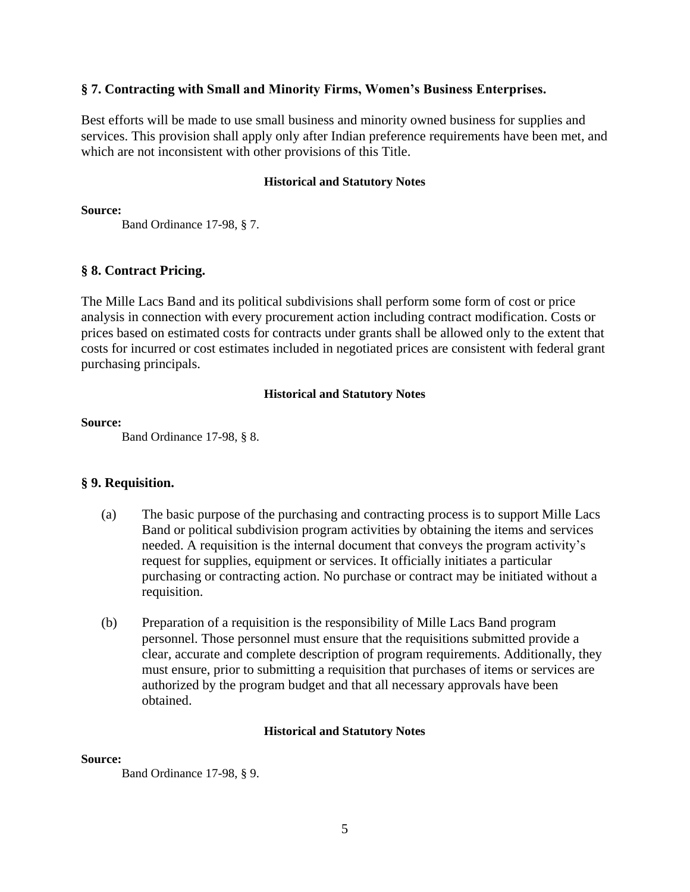## **§ 7. Contracting with Small and Minority Firms, Women's Business Enterprises.**

Best efforts will be made to use small business and minority owned business for supplies and services. This provision shall apply only after Indian preference requirements have been met, and which are not inconsistent with other provisions of this Title.

## **Historical and Statutory Notes**

**Source:**

Band Ordinance 17-98, § 7.

## **§ 8. Contract Pricing.**

The Mille Lacs Band and its political subdivisions shall perform some form of cost or price analysis in connection with every procurement action including contract modification. Costs or prices based on estimated costs for contracts under grants shall be allowed only to the extent that costs for incurred or cost estimates included in negotiated prices are consistent with federal grant purchasing principals.

## **Historical and Statutory Notes**

## **Source:**

Band Ordinance 17-98, § 8.

## **§ 9. Requisition.**

- (a) The basic purpose of the purchasing and contracting process is to support Mille Lacs Band or political subdivision program activities by obtaining the items and services needed. A requisition is the internal document that conveys the program activity's request for supplies, equipment or services. It officially initiates a particular purchasing or contracting action. No purchase or contract may be initiated without a requisition.
- (b) Preparation of a requisition is the responsibility of Mille Lacs Band program personnel. Those personnel must ensure that the requisitions submitted provide a clear, accurate and complete description of program requirements. Additionally, they must ensure, prior to submitting a requisition that purchases of items or services are authorized by the program budget and that all necessary approvals have been obtained.

## **Historical and Statutory Notes**

#### **Source:**

Band Ordinance 17-98, § 9.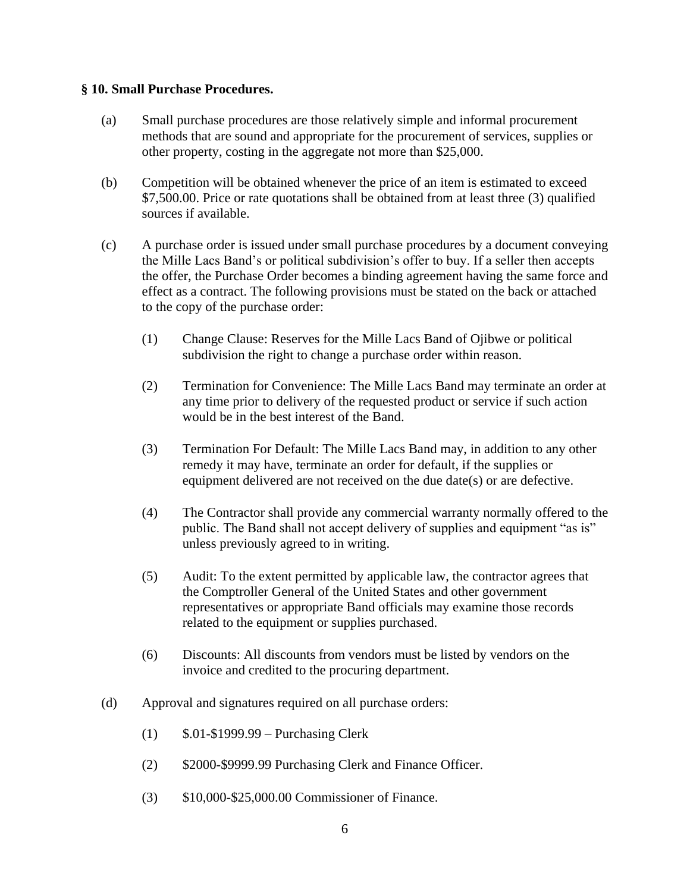## **§ 10. Small Purchase Procedures.**

- (a) Small purchase procedures are those relatively simple and informal procurement methods that are sound and appropriate for the procurement of services, supplies or other property, costing in the aggregate not more than \$25,000.
- (b) Competition will be obtained whenever the price of an item is estimated to exceed \$7,500.00. Price or rate quotations shall be obtained from at least three (3) qualified sources if available.
- (c) A purchase order is issued under small purchase procedures by a document conveying the Mille Lacs Band's or political subdivision's offer to buy. If a seller then accepts the offer, the Purchase Order becomes a binding agreement having the same force and effect as a contract. The following provisions must be stated on the back or attached to the copy of the purchase order:
	- (1) Change Clause: Reserves for the Mille Lacs Band of Ojibwe or political subdivision the right to change a purchase order within reason.
	- (2) Termination for Convenience: The Mille Lacs Band may terminate an order at any time prior to delivery of the requested product or service if such action would be in the best interest of the Band.
	- (3) Termination For Default: The Mille Lacs Band may, in addition to any other remedy it may have, terminate an order for default, if the supplies or equipment delivered are not received on the due date(s) or are defective.
	- (4) The Contractor shall provide any commercial warranty normally offered to the public. The Band shall not accept delivery of supplies and equipment "as is" unless previously agreed to in writing.
	- (5) Audit: To the extent permitted by applicable law, the contractor agrees that the Comptroller General of the United States and other government representatives or appropriate Band officials may examine those records related to the equipment or supplies purchased.
	- (6) Discounts: All discounts from vendors must be listed by vendors on the invoice and credited to the procuring department.
- (d) Approval and signatures required on all purchase orders:
	- (1) \$.01-\$1999.99 Purchasing Clerk
	- (2) \$2000-\$9999.99 Purchasing Clerk and Finance Officer.
	- (3) \$10,000-\$25,000.00 Commissioner of Finance.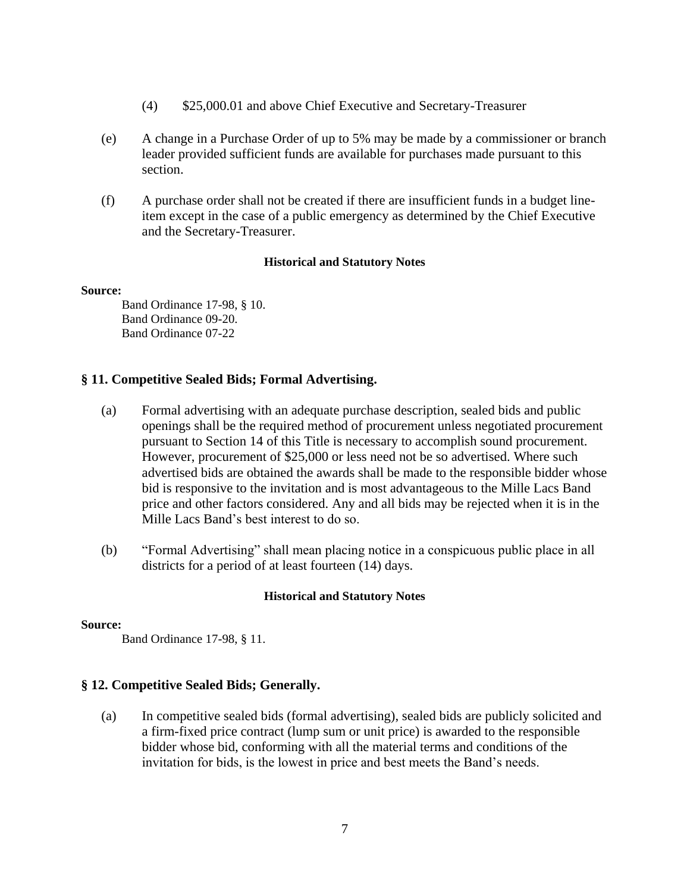- (4) \$25,000.01 and above Chief Executive and Secretary-Treasurer
- (e) A change in a Purchase Order of up to 5% may be made by a commissioner or branch leader provided sufficient funds are available for purchases made pursuant to this section.
- (f) A purchase order shall not be created if there are insufficient funds in a budget lineitem except in the case of a public emergency as determined by the Chief Executive and the Secretary-Treasurer.

#### **Source:**

Band Ordinance 17-98, § 10. Band Ordinance 09-20. Band Ordinance 07-22

## **§ 11. Competitive Sealed Bids; Formal Advertising.**

- (a) Formal advertising with an adequate purchase description, sealed bids and public openings shall be the required method of procurement unless negotiated procurement pursuant to Section 14 of this Title is necessary to accomplish sound procurement. However, procurement of \$25,000 or less need not be so advertised. Where such advertised bids are obtained the awards shall be made to the responsible bidder whose bid is responsive to the invitation and is most advantageous to the Mille Lacs Band price and other factors considered. Any and all bids may be rejected when it is in the Mille Lacs Band's best interest to do so.
- (b) "Formal Advertising" shall mean placing notice in a conspicuous public place in all districts for a period of at least fourteen (14) days.

#### **Historical and Statutory Notes**

#### **Source:**

Band Ordinance 17-98, § 11.

## **§ 12. Competitive Sealed Bids; Generally.**

(a) In competitive sealed bids (formal advertising), sealed bids are publicly solicited and a firm-fixed price contract (lump sum or unit price) is awarded to the responsible bidder whose bid, conforming with all the material terms and conditions of the invitation for bids, is the lowest in price and best meets the Band's needs.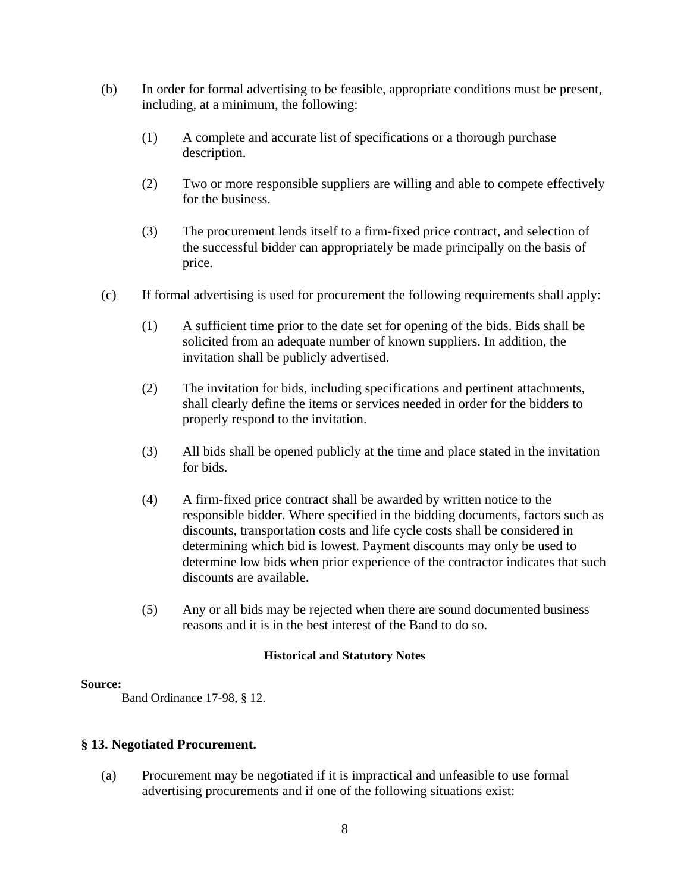- (b) In order for formal advertising to be feasible, appropriate conditions must be present, including, at a minimum, the following:
	- (1) A complete and accurate list of specifications or a thorough purchase description.
	- (2) Two or more responsible suppliers are willing and able to compete effectively for the business.
	- (3) The procurement lends itself to a firm-fixed price contract, and selection of the successful bidder can appropriately be made principally on the basis of price.
- (c) If formal advertising is used for procurement the following requirements shall apply:
	- (1) A sufficient time prior to the date set for opening of the bids. Bids shall be solicited from an adequate number of known suppliers. In addition, the invitation shall be publicly advertised.
	- (2) The invitation for bids, including specifications and pertinent attachments, shall clearly define the items or services needed in order for the bidders to properly respond to the invitation.
	- (3) All bids shall be opened publicly at the time and place stated in the invitation for bids.
	- (4) A firm-fixed price contract shall be awarded by written notice to the responsible bidder. Where specified in the bidding documents, factors such as discounts, transportation costs and life cycle costs shall be considered in determining which bid is lowest. Payment discounts may only be used to determine low bids when prior experience of the contractor indicates that such discounts are available.
	- (5) Any or all bids may be rejected when there are sound documented business reasons and it is in the best interest of the Band to do so.

#### **Source:**

Band Ordinance 17-98, § 12.

## **§ 13. Negotiated Procurement.**

(a) Procurement may be negotiated if it is impractical and unfeasible to use formal advertising procurements and if one of the following situations exist: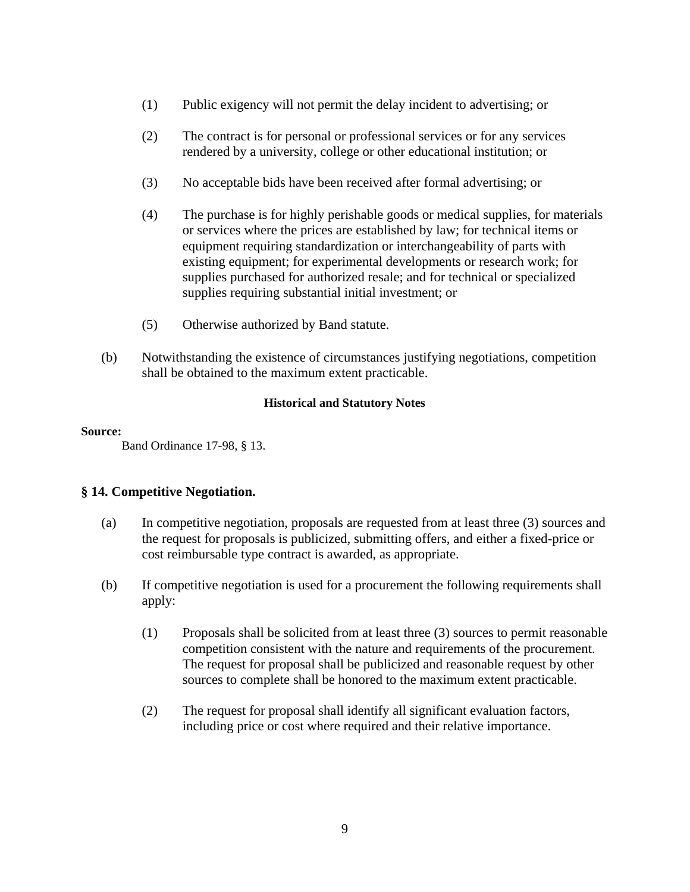- (1) Public exigency will not permit the delay incident to advertising; or
- (2) The contract is for personal or professional services or for any services rendered by a university, college or other educational institution; or
- (3) No acceptable bids have been received after formal advertising; or
- (4) The purchase is for highly perishable goods or medical supplies, for materials or services where the prices are established by law; for technical items or equipment requiring standardization or interchangeability of parts with existing equipment; for experimental developments or research work; for supplies purchased for authorized resale; and for technical or specialized supplies requiring substantial initial investment; or
- (5) Otherwise authorized by Band statute.
- (b) Notwithstanding the existence of circumstances justifying negotiations, competition shall be obtained to the maximum extent practicable.

#### **Source:**

Band Ordinance 17-98, § 13.

## **§ 14. Competitive Negotiation.**

- (a) In competitive negotiation, proposals are requested from at least three (3) sources and the request for proposals is publicized, submitting offers, and either a fixed-price or cost reimbursable type contract is awarded, as appropriate.
- (b) If competitive negotiation is used for a procurement the following requirements shall apply:
	- (1) Proposals shall be solicited from at least three (3) sources to permit reasonable competition consistent with the nature and requirements of the procurement. The request for proposal shall be publicized and reasonable request by other sources to complete shall be honored to the maximum extent practicable.
	- (2) The request for proposal shall identify all significant evaluation factors, including price or cost where required and their relative importance.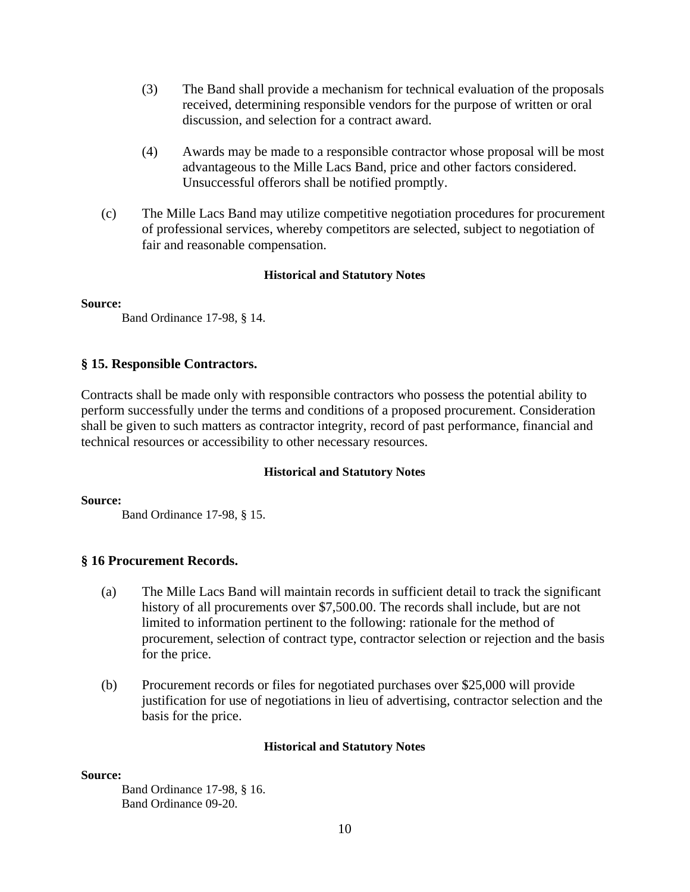- (3) The Band shall provide a mechanism for technical evaluation of the proposals received, determining responsible vendors for the purpose of written or oral discussion, and selection for a contract award.
- (4) Awards may be made to a responsible contractor whose proposal will be most advantageous to the Mille Lacs Band, price and other factors considered. Unsuccessful offerors shall be notified promptly.
- (c) The Mille Lacs Band may utilize competitive negotiation procedures for procurement of professional services, whereby competitors are selected, subject to negotiation of fair and reasonable compensation.

#### **Source:**

Band Ordinance 17-98, § 14.

## **§ 15. Responsible Contractors.**

Contracts shall be made only with responsible contractors who possess the potential ability to perform successfully under the terms and conditions of a proposed procurement. Consideration shall be given to such matters as contractor integrity, record of past performance, financial and technical resources or accessibility to other necessary resources.

#### **Historical and Statutory Notes**

**Source:**

Band Ordinance 17-98, § 15.

## **§ 16 Procurement Records.**

- (a) The Mille Lacs Band will maintain records in sufficient detail to track the significant history of all procurements over \$7,500.00. The records shall include, but are not limited to information pertinent to the following: rationale for the method of procurement, selection of contract type, contractor selection or rejection and the basis for the price.
- (b) Procurement records or files for negotiated purchases over \$25,000 will provide justification for use of negotiations in lieu of advertising, contractor selection and the basis for the price.

#### **Historical and Statutory Notes**

#### **Source:**

Band Ordinance 17-98, § 16. Band Ordinance 09-20.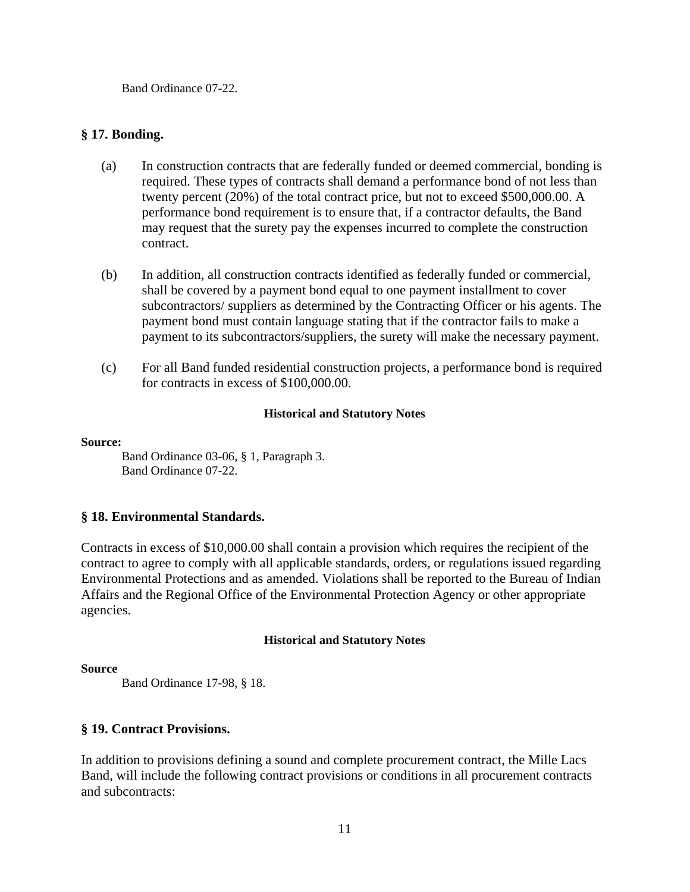Band Ordinance 07-22.

## **§ 17. Bonding.**

- (a) In construction contracts that are federally funded or deemed commercial, bonding is required. These types of contracts shall demand a performance bond of not less than twenty percent (20%) of the total contract price, but not to exceed \$500,000.00. A performance bond requirement is to ensure that, if a contractor defaults, the Band may request that the surety pay the expenses incurred to complete the construction contract.
- (b) In addition, all construction contracts identified as federally funded or commercial, shall be covered by a payment bond equal to one payment installment to cover subcontractors/ suppliers as determined by the Contracting Officer or his agents. The payment bond must contain language stating that if the contractor fails to make a payment to its subcontractors/suppliers, the surety will make the necessary payment.
- (c) For all Band funded residential construction projects, a performance bond is required for contracts in excess of \$100,000.00.

#### **Historical and Statutory Notes**

#### **Source:**

Band Ordinance 03-06, § 1, Paragraph 3. Band Ordinance 07-22.

#### **§ 18. Environmental Standards.**

Contracts in excess of \$10,000.00 shall contain a provision which requires the recipient of the contract to agree to comply with all applicable standards, orders, or regulations issued regarding Environmental Protections and as amended. Violations shall be reported to the Bureau of Indian Affairs and the Regional Office of the Environmental Protection Agency or other appropriate agencies.

#### **Historical and Statutory Notes**

#### **Source**

Band Ordinance 17-98, § 18.

## **§ 19. Contract Provisions.**

In addition to provisions defining a sound and complete procurement contract, the Mille Lacs Band, will include the following contract provisions or conditions in all procurement contracts and subcontracts: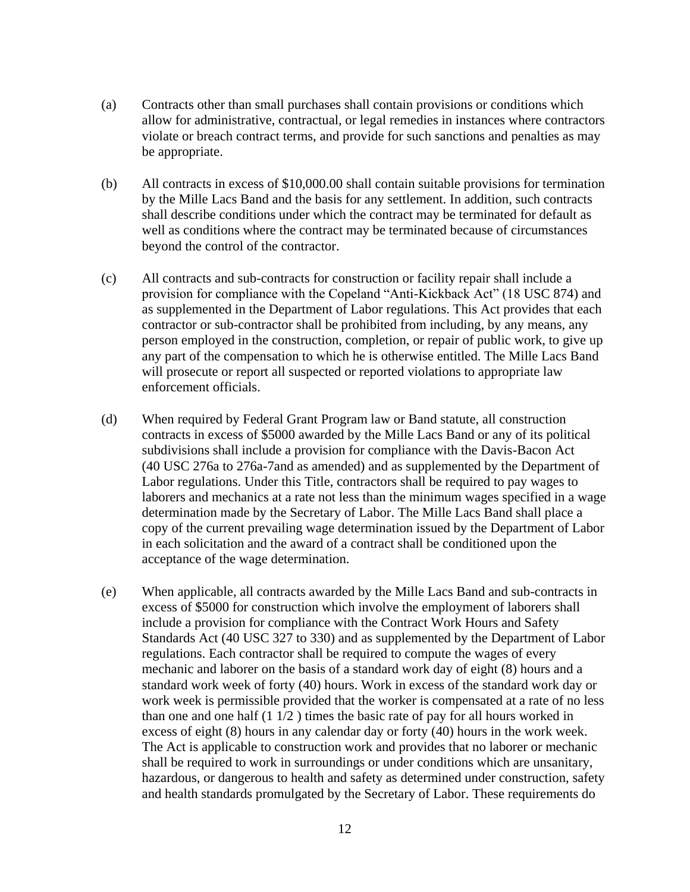- (a) Contracts other than small purchases shall contain provisions or conditions which allow for administrative, contractual, or legal remedies in instances where contractors violate or breach contract terms, and provide for such sanctions and penalties as may be appropriate.
- (b) All contracts in excess of \$10,000.00 shall contain suitable provisions for termination by the Mille Lacs Band and the basis for any settlement. In addition, such contracts shall describe conditions under which the contract may be terminated for default as well as conditions where the contract may be terminated because of circumstances beyond the control of the contractor.
- (c) All contracts and sub-contracts for construction or facility repair shall include a provision for compliance with the Copeland "Anti-Kickback Act" (18 USC 874) and as supplemented in the Department of Labor regulations. This Act provides that each contractor or sub-contractor shall be prohibited from including, by any means, any person employed in the construction, completion, or repair of public work, to give up any part of the compensation to which he is otherwise entitled. The Mille Lacs Band will prosecute or report all suspected or reported violations to appropriate law enforcement officials.
- (d) When required by Federal Grant Program law or Band statute, all construction contracts in excess of \$5000 awarded by the Mille Lacs Band or any of its political subdivisions shall include a provision for compliance with the Davis-Bacon Act (40 USC 276a to 276a-7and as amended) and as supplemented by the Department of Labor regulations. Under this Title, contractors shall be required to pay wages to laborers and mechanics at a rate not less than the minimum wages specified in a wage determination made by the Secretary of Labor. The Mille Lacs Band shall place a copy of the current prevailing wage determination issued by the Department of Labor in each solicitation and the award of a contract shall be conditioned upon the acceptance of the wage determination.
- (e) When applicable, all contracts awarded by the Mille Lacs Band and sub-contracts in excess of \$5000 for construction which involve the employment of laborers shall include a provision for compliance with the Contract Work Hours and Safety Standards Act (40 USC 327 to 330) and as supplemented by the Department of Labor regulations. Each contractor shall be required to compute the wages of every mechanic and laborer on the basis of a standard work day of eight (8) hours and a standard work week of forty (40) hours. Work in excess of the standard work day or work week is permissible provided that the worker is compensated at a rate of no less than one and one half  $(1 1/2)$  times the basic rate of pay for all hours worked in excess of eight (8) hours in any calendar day or forty (40) hours in the work week. The Act is applicable to construction work and provides that no laborer or mechanic shall be required to work in surroundings or under conditions which are unsanitary, hazardous, or dangerous to health and safety as determined under construction, safety and health standards promulgated by the Secretary of Labor. These requirements do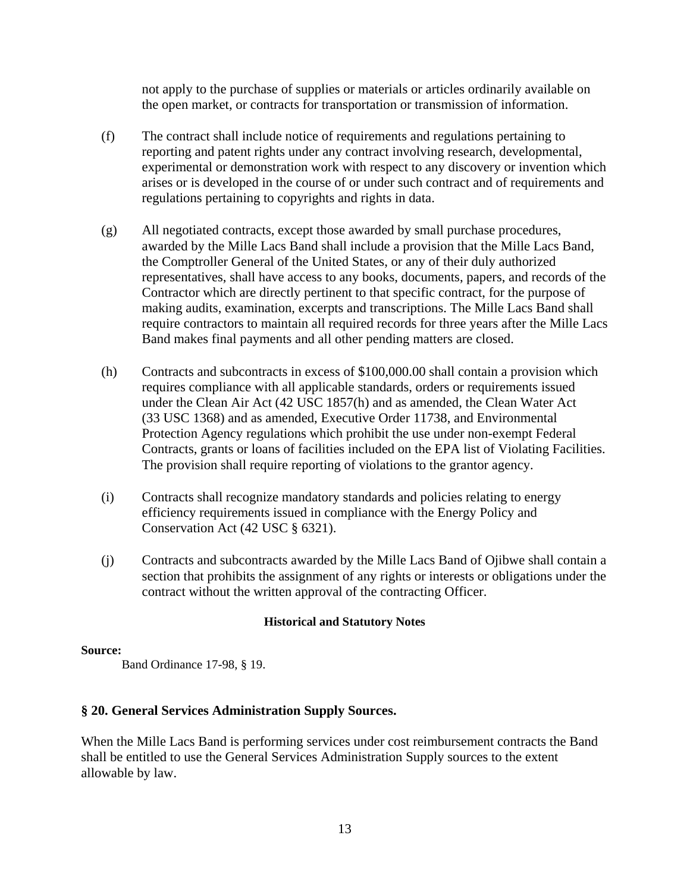not apply to the purchase of supplies or materials or articles ordinarily available on the open market, or contracts for transportation or transmission of information.

- (f) The contract shall include notice of requirements and regulations pertaining to reporting and patent rights under any contract involving research, developmental, experimental or demonstration work with respect to any discovery or invention which arises or is developed in the course of or under such contract and of requirements and regulations pertaining to copyrights and rights in data.
- (g) All negotiated contracts, except those awarded by small purchase procedures, awarded by the Mille Lacs Band shall include a provision that the Mille Lacs Band, the Comptroller General of the United States, or any of their duly authorized representatives, shall have access to any books, documents, papers, and records of the Contractor which are directly pertinent to that specific contract, for the purpose of making audits, examination, excerpts and transcriptions. The Mille Lacs Band shall require contractors to maintain all required records for three years after the Mille Lacs Band makes final payments and all other pending matters are closed.
- (h) Contracts and subcontracts in excess of \$100,000.00 shall contain a provision which requires compliance with all applicable standards, orders or requirements issued under the Clean Air Act (42 USC 1857(h) and as amended, the Clean Water Act (33 USC 1368) and as amended, Executive Order 11738, and Environmental Protection Agency regulations which prohibit the use under non-exempt Federal Contracts, grants or loans of facilities included on the EPA list of Violating Facilities. The provision shall require reporting of violations to the grantor agency.
- (i) Contracts shall recognize mandatory standards and policies relating to energy efficiency requirements issued in compliance with the Energy Policy and Conservation Act (42 USC § 6321).
- (j) Contracts and subcontracts awarded by the Mille Lacs Band of Ojibwe shall contain a section that prohibits the assignment of any rights or interests or obligations under the contract without the written approval of the contracting Officer.

#### **Historical and Statutory Notes**

#### **Source:**

Band Ordinance 17-98, § 19.

## **§ 20. General Services Administration Supply Sources.**

When the Mille Lacs Band is performing services under cost reimbursement contracts the Band shall be entitled to use the General Services Administration Supply sources to the extent allowable by law.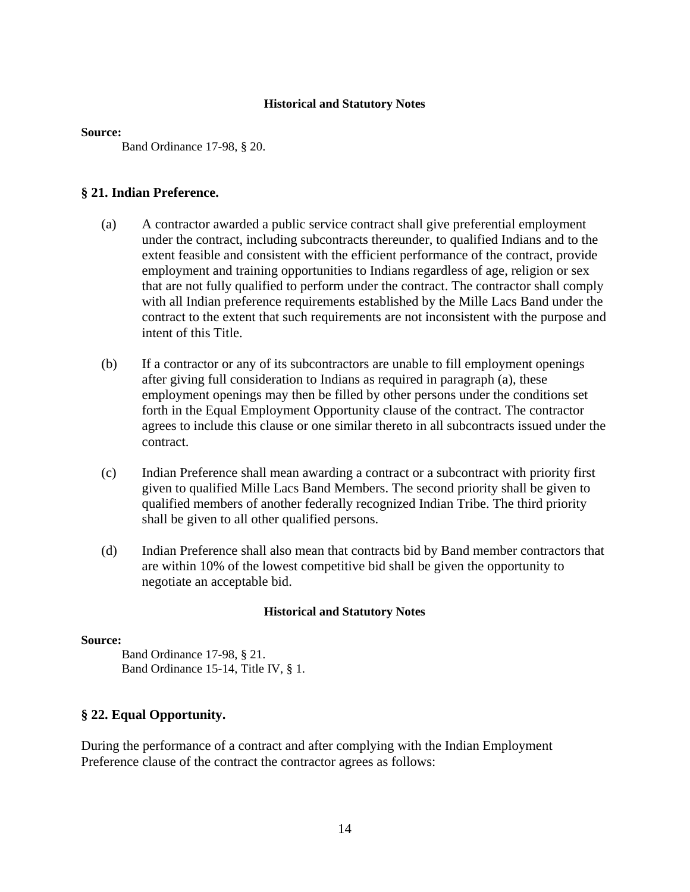#### **Source:**

Band Ordinance 17-98, § 20.

## **§ 21. Indian Preference.**

- (a) A contractor awarded a public service contract shall give preferential employment under the contract, including subcontracts thereunder, to qualified Indians and to the extent feasible and consistent with the efficient performance of the contract, provide employment and training opportunities to Indians regardless of age, religion or sex that are not fully qualified to perform under the contract. The contractor shall comply with all Indian preference requirements established by the Mille Lacs Band under the contract to the extent that such requirements are not inconsistent with the purpose and intent of this Title.
- (b) If a contractor or any of its subcontractors are unable to fill employment openings after giving full consideration to Indians as required in paragraph (a), these employment openings may then be filled by other persons under the conditions set forth in the Equal Employment Opportunity clause of the contract. The contractor agrees to include this clause or one similar thereto in all subcontracts issued under the contract.
- (c) Indian Preference shall mean awarding a contract or a subcontract with priority first given to qualified Mille Lacs Band Members. The second priority shall be given to qualified members of another federally recognized Indian Tribe. The third priority shall be given to all other qualified persons.
- (d) Indian Preference shall also mean that contracts bid by Band member contractors that are within 10% of the lowest competitive bid shall be given the opportunity to negotiate an acceptable bid.

#### **Historical and Statutory Notes**

#### **Source:**

Band Ordinance 17-98, § 21. Band Ordinance 15-14, Title IV, § 1.

## **§ 22. Equal Opportunity.**

During the performance of a contract and after complying with the Indian Employment Preference clause of the contract the contractor agrees as follows: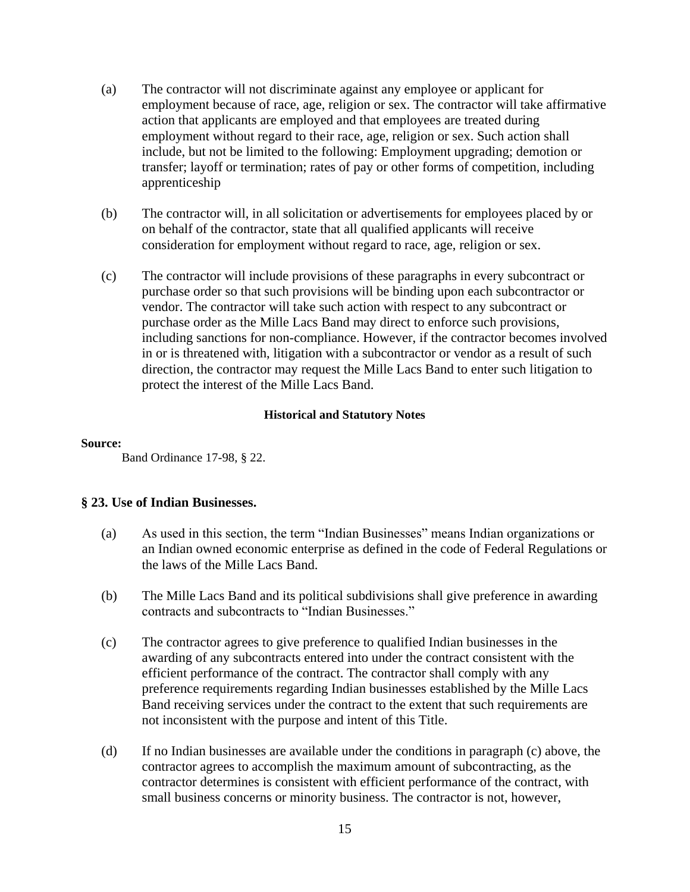- (a) The contractor will not discriminate against any employee or applicant for employment because of race, age, religion or sex. The contractor will take affirmative action that applicants are employed and that employees are treated during employment without regard to their race, age, religion or sex. Such action shall include, but not be limited to the following: Employment upgrading; demotion or transfer; layoff or termination; rates of pay or other forms of competition, including apprenticeship
- (b) The contractor will, in all solicitation or advertisements for employees placed by or on behalf of the contractor, state that all qualified applicants will receive consideration for employment without regard to race, age, religion or sex.
- (c) The contractor will include provisions of these paragraphs in every subcontract or purchase order so that such provisions will be binding upon each subcontractor or vendor. The contractor will take such action with respect to any subcontract or purchase order as the Mille Lacs Band may direct to enforce such provisions, including sanctions for non-compliance. However, if the contractor becomes involved in or is threatened with, litigation with a subcontractor or vendor as a result of such direction, the contractor may request the Mille Lacs Band to enter such litigation to protect the interest of the Mille Lacs Band.

#### **Source:**

Band Ordinance 17-98, § 22.

#### **§ 23. Use of Indian Businesses.**

- (a) As used in this section, the term "Indian Businesses" means Indian organizations or an Indian owned economic enterprise as defined in the code of Federal Regulations or the laws of the Mille Lacs Band.
- (b) The Mille Lacs Band and its political subdivisions shall give preference in awarding contracts and subcontracts to "Indian Businesses."
- (c) The contractor agrees to give preference to qualified Indian businesses in the awarding of any subcontracts entered into under the contract consistent with the efficient performance of the contract. The contractor shall comply with any preference requirements regarding Indian businesses established by the Mille Lacs Band receiving services under the contract to the extent that such requirements are not inconsistent with the purpose and intent of this Title.
- (d) If no Indian businesses are available under the conditions in paragraph (c) above, the contractor agrees to accomplish the maximum amount of subcontracting, as the contractor determines is consistent with efficient performance of the contract, with small business concerns or minority business. The contractor is not, however,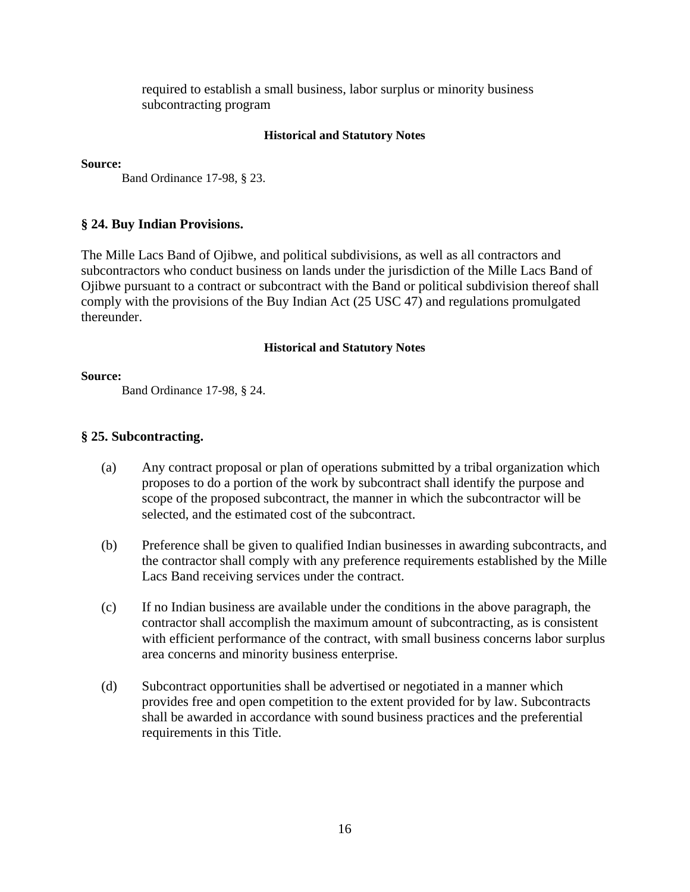required to establish a small business, labor surplus or minority business subcontracting program

#### **Historical and Statutory Notes**

**Source:**

Band Ordinance 17-98, § 23.

#### **§ 24. Buy Indian Provisions.**

The Mille Lacs Band of Ojibwe, and political subdivisions, as well as all contractors and subcontractors who conduct business on lands under the jurisdiction of the Mille Lacs Band of Ojibwe pursuant to a contract or subcontract with the Band or political subdivision thereof shall comply with the provisions of the Buy Indian Act (25 USC 47) and regulations promulgated thereunder.

#### **Historical and Statutory Notes**

#### **Source:**

Band Ordinance 17-98, § 24.

## **§ 25. Subcontracting.**

- (a) Any contract proposal or plan of operations submitted by a tribal organization which proposes to do a portion of the work by subcontract shall identify the purpose and scope of the proposed subcontract, the manner in which the subcontractor will be selected, and the estimated cost of the subcontract.
- (b) Preference shall be given to qualified Indian businesses in awarding subcontracts, and the contractor shall comply with any preference requirements established by the Mille Lacs Band receiving services under the contract.
- (c) If no Indian business are available under the conditions in the above paragraph, the contractor shall accomplish the maximum amount of subcontracting, as is consistent with efficient performance of the contract, with small business concerns labor surplus area concerns and minority business enterprise.
- (d) Subcontract opportunities shall be advertised or negotiated in a manner which provides free and open competition to the extent provided for by law. Subcontracts shall be awarded in accordance with sound business practices and the preferential requirements in this Title.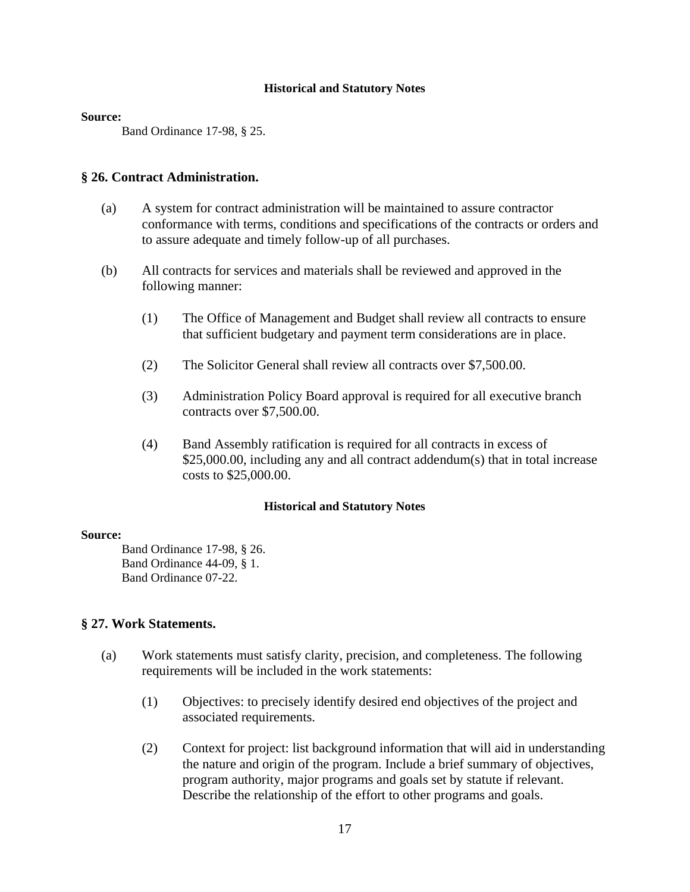#### **Source:**

Band Ordinance 17-98, § 25.

## **§ 26. Contract Administration.**

- (a) A system for contract administration will be maintained to assure contractor conformance with terms, conditions and specifications of the contracts or orders and to assure adequate and timely follow-up of all purchases.
- (b) All contracts for services and materials shall be reviewed and approved in the following manner:
	- (1) The Office of Management and Budget shall review all contracts to ensure that sufficient budgetary and payment term considerations are in place.
	- (2) The Solicitor General shall review all contracts over \$7,500.00.
	- (3) Administration Policy Board approval is required for all executive branch contracts over \$7,500.00.
	- (4) Band Assembly ratification is required for all contracts in excess of \$25,000.00, including any and all contract addendum(s) that in total increase costs to \$25,000.00.

#### **Historical and Statutory Notes**

#### **Source:**

Band Ordinance 17-98, § 26. Band Ordinance 44-09, § 1. Band Ordinance 07-22.

#### **§ 27. Work Statements.**

- (a) Work statements must satisfy clarity, precision, and completeness. The following requirements will be included in the work statements:
	- (1) Objectives: to precisely identify desired end objectives of the project and associated requirements.
	- (2) Context for project: list background information that will aid in understanding the nature and origin of the program. Include a brief summary of objectives, program authority, major programs and goals set by statute if relevant. Describe the relationship of the effort to other programs and goals.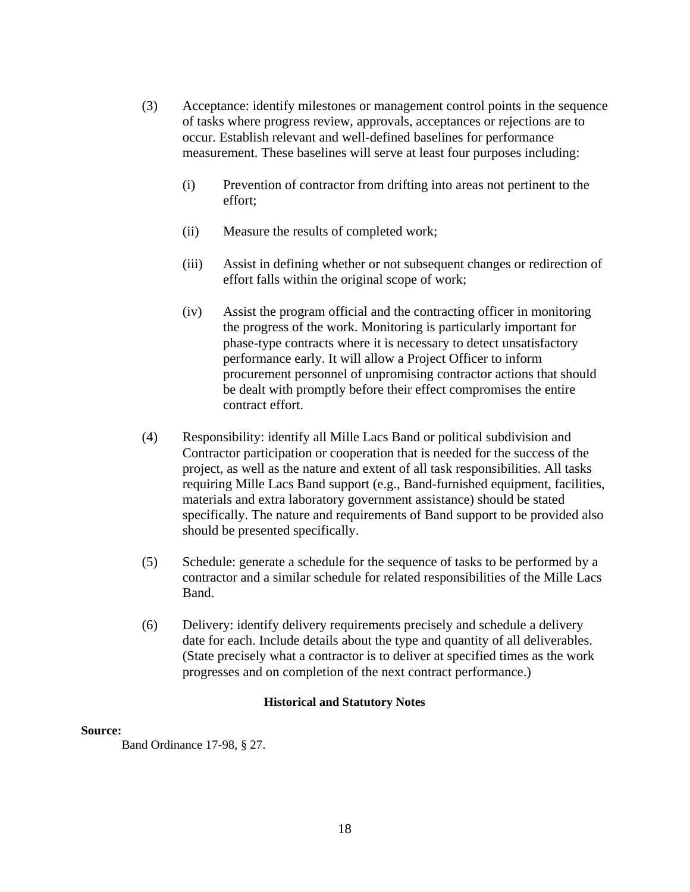- (3) Acceptance: identify milestones or management control points in the sequence of tasks where progress review, approvals, acceptances or rejections are to occur. Establish relevant and well-defined baselines for performance measurement. These baselines will serve at least four purposes including:
	- (i) Prevention of contractor from drifting into areas not pertinent to the effort;
	- (ii) Measure the results of completed work;
	- (iii) Assist in defining whether or not subsequent changes or redirection of effort falls within the original scope of work;
	- (iv) Assist the program official and the contracting officer in monitoring the progress of the work. Monitoring is particularly important for phase-type contracts where it is necessary to detect unsatisfactory performance early. It will allow a Project Officer to inform procurement personnel of unpromising contractor actions that should be dealt with promptly before their effect compromises the entire contract effort.
- (4) Responsibility: identify all Mille Lacs Band or political subdivision and Contractor participation or cooperation that is needed for the success of the project, as well as the nature and extent of all task responsibilities. All tasks requiring Mille Lacs Band support (e.g., Band-furnished equipment, facilities, materials and extra laboratory government assistance) should be stated specifically. The nature and requirements of Band support to be provided also should be presented specifically.
- (5) Schedule: generate a schedule for the sequence of tasks to be performed by a contractor and a similar schedule for related responsibilities of the Mille Lacs Band.
- (6) Delivery: identify delivery requirements precisely and schedule a delivery date for each. Include details about the type and quantity of all deliverables. (State precisely what a contractor is to deliver at specified times as the work progresses and on completion of the next contract performance.)

#### **Source:**

Band Ordinance 17-98, § 27.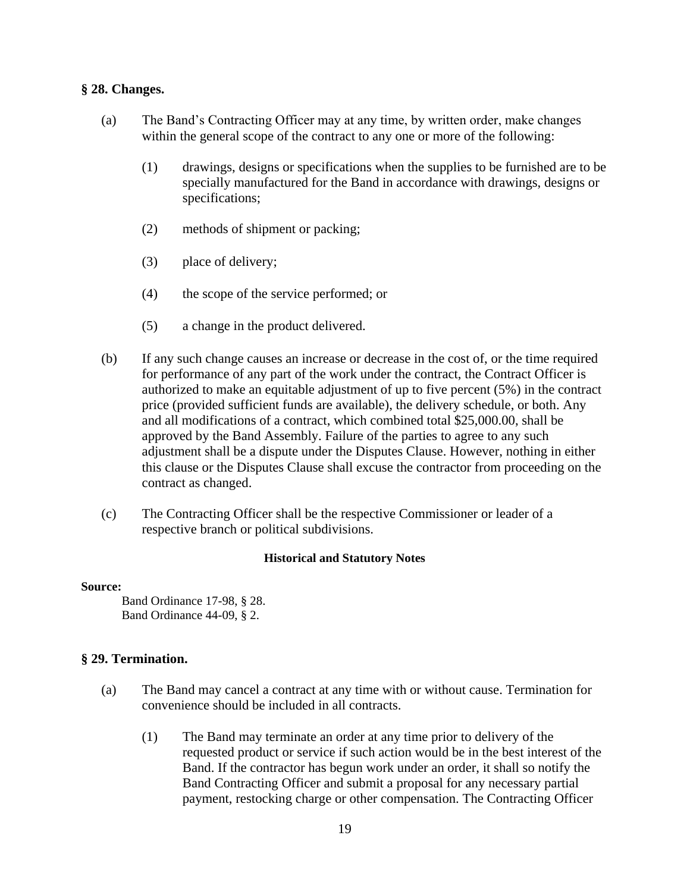## **§ 28. Changes.**

- (a) The Band's Contracting Officer may at any time, by written order, make changes within the general scope of the contract to any one or more of the following:
	- (1) drawings, designs or specifications when the supplies to be furnished are to be specially manufactured for the Band in accordance with drawings, designs or specifications;
	- (2) methods of shipment or packing;
	- (3) place of delivery;
	- (4) the scope of the service performed; or
	- (5) a change in the product delivered.
- (b) If any such change causes an increase or decrease in the cost of, or the time required for performance of any part of the work under the contract, the Contract Officer is authorized to make an equitable adjustment of up to five percent (5%) in the contract price (provided sufficient funds are available), the delivery schedule, or both. Any and all modifications of a contract, which combined total \$25,000.00, shall be approved by the Band Assembly. Failure of the parties to agree to any such adjustment shall be a dispute under the Disputes Clause. However, nothing in either this clause or the Disputes Clause shall excuse the contractor from proceeding on the contract as changed.
- (c) The Contracting Officer shall be the respective Commissioner or leader of a respective branch or political subdivisions.

#### **Historical and Statutory Notes**

#### **Source:**

Band Ordinance 17-98, § 28. Band Ordinance 44-09, § 2.

## **§ 29. Termination.**

- (a) The Band may cancel a contract at any time with or without cause. Termination for convenience should be included in all contracts.
	- (1) The Band may terminate an order at any time prior to delivery of the requested product or service if such action would be in the best interest of the Band. If the contractor has begun work under an order, it shall so notify the Band Contracting Officer and submit a proposal for any necessary partial payment, restocking charge or other compensation. The Contracting Officer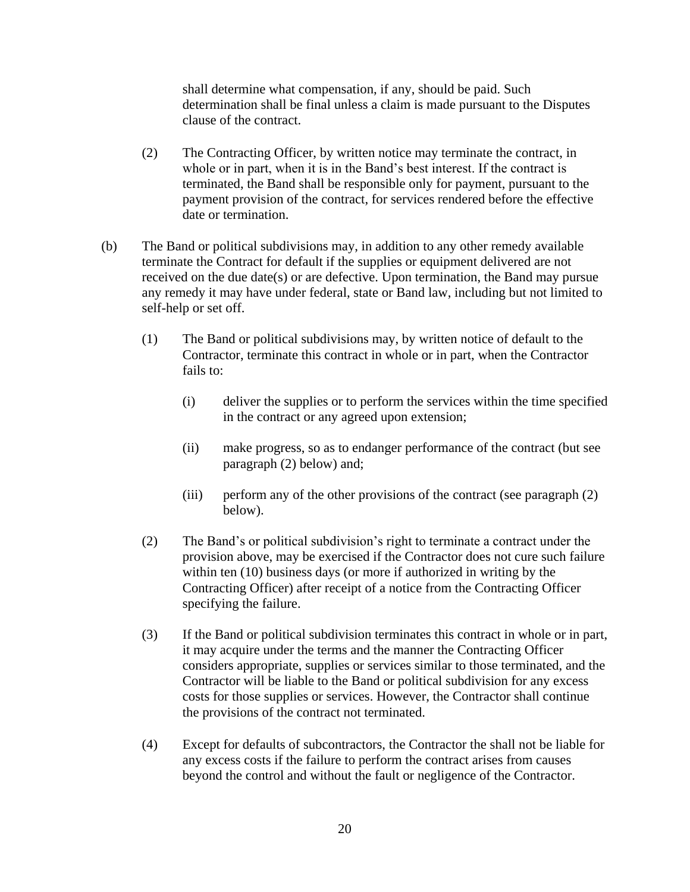shall determine what compensation, if any, should be paid. Such determination shall be final unless a claim is made pursuant to the Disputes clause of the contract.

- (2) The Contracting Officer, by written notice may terminate the contract, in whole or in part, when it is in the Band's best interest. If the contract is terminated, the Band shall be responsible only for payment, pursuant to the payment provision of the contract, for services rendered before the effective date or termination.
- (b) The Band or political subdivisions may, in addition to any other remedy available terminate the Contract for default if the supplies or equipment delivered are not received on the due date(s) or are defective. Upon termination, the Band may pursue any remedy it may have under federal, state or Band law, including but not limited to self-help or set off.
	- (1) The Band or political subdivisions may, by written notice of default to the Contractor, terminate this contract in whole or in part, when the Contractor fails to:
		- (i) deliver the supplies or to perform the services within the time specified in the contract or any agreed upon extension;
		- (ii) make progress, so as to endanger performance of the contract (but see paragraph (2) below) and;
		- (iii) perform any of the other provisions of the contract (see paragraph (2) below).
	- (2) The Band's or political subdivision's right to terminate a contract under the provision above, may be exercised if the Contractor does not cure such failure within ten (10) business days (or more if authorized in writing by the Contracting Officer) after receipt of a notice from the Contracting Officer specifying the failure.
	- (3) If the Band or political subdivision terminates this contract in whole or in part, it may acquire under the terms and the manner the Contracting Officer considers appropriate, supplies or services similar to those terminated, and the Contractor will be liable to the Band or political subdivision for any excess costs for those supplies or services. However, the Contractor shall continue the provisions of the contract not terminated.
	- (4) Except for defaults of subcontractors, the Contractor the shall not be liable for any excess costs if the failure to perform the contract arises from causes beyond the control and without the fault or negligence of the Contractor.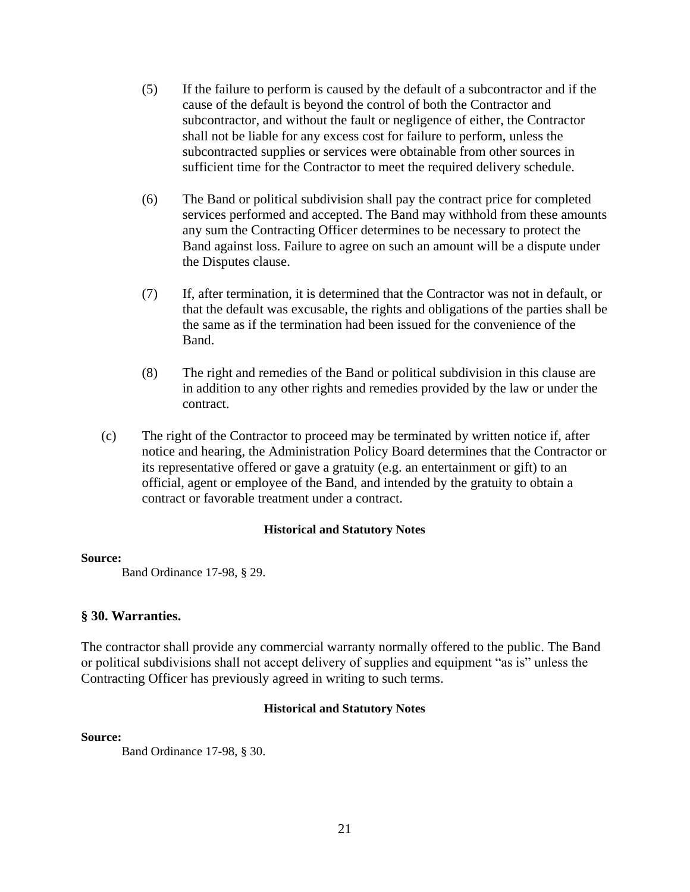- (5) If the failure to perform is caused by the default of a subcontractor and if the cause of the default is beyond the control of both the Contractor and subcontractor, and without the fault or negligence of either, the Contractor shall not be liable for any excess cost for failure to perform, unless the subcontracted supplies or services were obtainable from other sources in sufficient time for the Contractor to meet the required delivery schedule.
- (6) The Band or political subdivision shall pay the contract price for completed services performed and accepted. The Band may withhold from these amounts any sum the Contracting Officer determines to be necessary to protect the Band against loss. Failure to agree on such an amount will be a dispute under the Disputes clause.
- (7) If, after termination, it is determined that the Contractor was not in default, or that the default was excusable, the rights and obligations of the parties shall be the same as if the termination had been issued for the convenience of the Band.
- (8) The right and remedies of the Band or political subdivision in this clause are in addition to any other rights and remedies provided by the law or under the contract.
- (c) The right of the Contractor to proceed may be terminated by written notice if, after notice and hearing, the Administration Policy Board determines that the Contractor or its representative offered or gave a gratuity (e.g. an entertainment or gift) to an official, agent or employee of the Band, and intended by the gratuity to obtain a contract or favorable treatment under a contract.

#### **Source:**

Band Ordinance 17-98, § 29.

#### **§ 30. Warranties.**

The contractor shall provide any commercial warranty normally offered to the public. The Band or political subdivisions shall not accept delivery of supplies and equipment "as is" unless the Contracting Officer has previously agreed in writing to such terms.

#### **Historical and Statutory Notes**

#### **Source:**

Band Ordinance 17-98, § 30.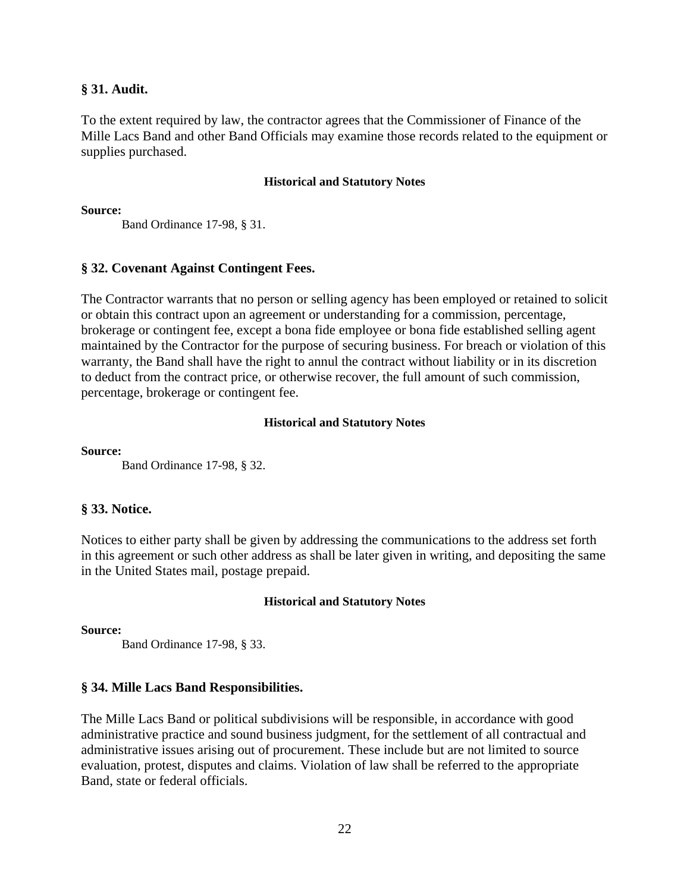## **§ 31. Audit.**

To the extent required by law, the contractor agrees that the Commissioner of Finance of the Mille Lacs Band and other Band Officials may examine those records related to the equipment or supplies purchased.

#### **Historical and Statutory Notes**

#### **Source:**

Band Ordinance 17-98, § 31.

## **§ 32. Covenant Against Contingent Fees.**

The Contractor warrants that no person or selling agency has been employed or retained to solicit or obtain this contract upon an agreement or understanding for a commission, percentage, brokerage or contingent fee, except a bona fide employee or bona fide established selling agent maintained by the Contractor for the purpose of securing business. For breach or violation of this warranty, the Band shall have the right to annul the contract without liability or in its discretion to deduct from the contract price, or otherwise recover, the full amount of such commission, percentage, brokerage or contingent fee.

#### **Historical and Statutory Notes**

**Source:**

Band Ordinance 17-98, § 32.

## **§ 33. Notice.**

Notices to either party shall be given by addressing the communications to the address set forth in this agreement or such other address as shall be later given in writing, and depositing the same in the United States mail, postage prepaid.

#### **Historical and Statutory Notes**

**Source:**

Band Ordinance 17-98, § 33.

## **§ 34. Mille Lacs Band Responsibilities.**

The Mille Lacs Band or political subdivisions will be responsible, in accordance with good administrative practice and sound business judgment, for the settlement of all contractual and administrative issues arising out of procurement. These include but are not limited to source evaluation, protest, disputes and claims. Violation of law shall be referred to the appropriate Band, state or federal officials.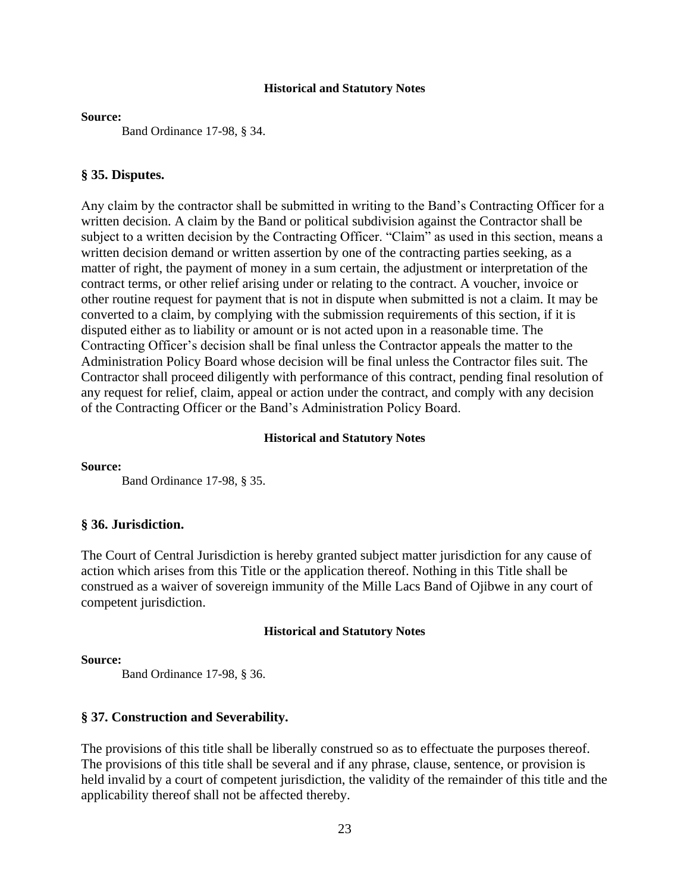#### **Source:**

Band Ordinance 17-98, § 34.

#### **§ 35. Disputes.**

Any claim by the contractor shall be submitted in writing to the Band's Contracting Officer for a written decision. A claim by the Band or political subdivision against the Contractor shall be subject to a written decision by the Contracting Officer. "Claim" as used in this section, means a written decision demand or written assertion by one of the contracting parties seeking, as a matter of right, the payment of money in a sum certain, the adjustment or interpretation of the contract terms, or other relief arising under or relating to the contract. A voucher, invoice or other routine request for payment that is not in dispute when submitted is not a claim. It may be converted to a claim, by complying with the submission requirements of this section, if it is disputed either as to liability or amount or is not acted upon in a reasonable time. The Contracting Officer's decision shall be final unless the Contractor appeals the matter to the Administration Policy Board whose decision will be final unless the Contractor files suit. The Contractor shall proceed diligently with performance of this contract, pending final resolution of any request for relief, claim, appeal or action under the contract, and comply with any decision of the Contracting Officer or the Band's Administration Policy Board.

#### **Historical and Statutory Notes**

**Source:**

Band Ordinance 17-98, § 35.

#### **§ 36. Jurisdiction.**

The Court of Central Jurisdiction is hereby granted subject matter jurisdiction for any cause of action which arises from this Title or the application thereof. Nothing in this Title shall be construed as a waiver of sovereign immunity of the Mille Lacs Band of Ojibwe in any court of competent jurisdiction.

#### **Historical and Statutory Notes**

#### **Source:**

Band Ordinance 17-98, § 36.

## **§ 37. Construction and Severability.**

The provisions of this title shall be liberally construed so as to effectuate the purposes thereof. The provisions of this title shall be several and if any phrase, clause, sentence, or provision is held invalid by a court of competent jurisdiction, the validity of the remainder of this title and the applicability thereof shall not be affected thereby.